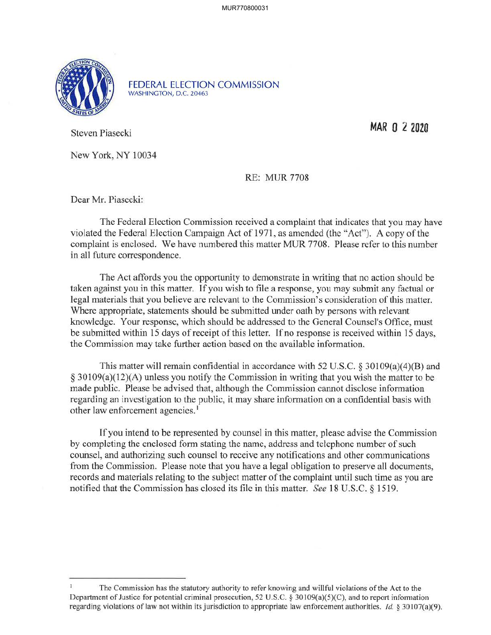

FEDERAL ELECTION COMMISSION WASHINGTON, D.C. 20463

Steven Piasecki **MAR O 2 <sup>2020</sup>**

New York, NY 10034

RE: MUR 7708

Dear Mr. Piasecki:

The Federal Election Commission received a complaint that indicates that you may have violated the Federal Election Campaign Act of 1971, as amended (the "Act"). A copy of the complaint is enclosed. We have numbered this matter MUR 7708. Please refer to this number in all future correspondence.

The Act affords you the opportunity to demonstrate in writing that no action should be taken against you in this matter. If you wish to file a response, you may submit any factual or legal materials that you believe are relevant to the Commission's consideration of this matter. Where appropriate, statements should be submitted under oath by persons with relevant knowledge. Your response, which should be addressed to the General Counsel's Office, must be submitted within 15 days of receipt of this letter. If no response is received within 15 days, the Commission may take further action based on the available information.

This matter will remain confidential in accordance with 52 U.S.C. § 30109(a)(4)(B) and § 30109(a)(l2)(A) unless you notify the Commission in writing that you wish the matter to be made public. Please be advised that, although the Commission cannot disclose information regarding an investigation to the public, it may share information on a confidential basis with other law enforcement agencies.<sup>1</sup>

If you intend to be represented by counsel in this matter, please advise the Commission by completing the enclosed form stating the name, address and telephone number of such counsel, and authorizing such counsel to receive any notifications and other communications from the Commission. Please note that you have a legal obligation to preserve all documents, records and materials relating to the subject matter of the complaint until such time as you are notified that the Commission has closed its file in this matter. *See* 18 U.S.C. § 1519.

The Commission has the statutory authority to refer knowing and willful violations of the Act to the Department of Justice for potential criminal prosecution, 52 U .S.C. § 30 I 09(a)(5)(C), and to report information regarding violations of law not within its jurisdiction to appropriate law enforcement authorities. *Id.* § 30107(a)(9).